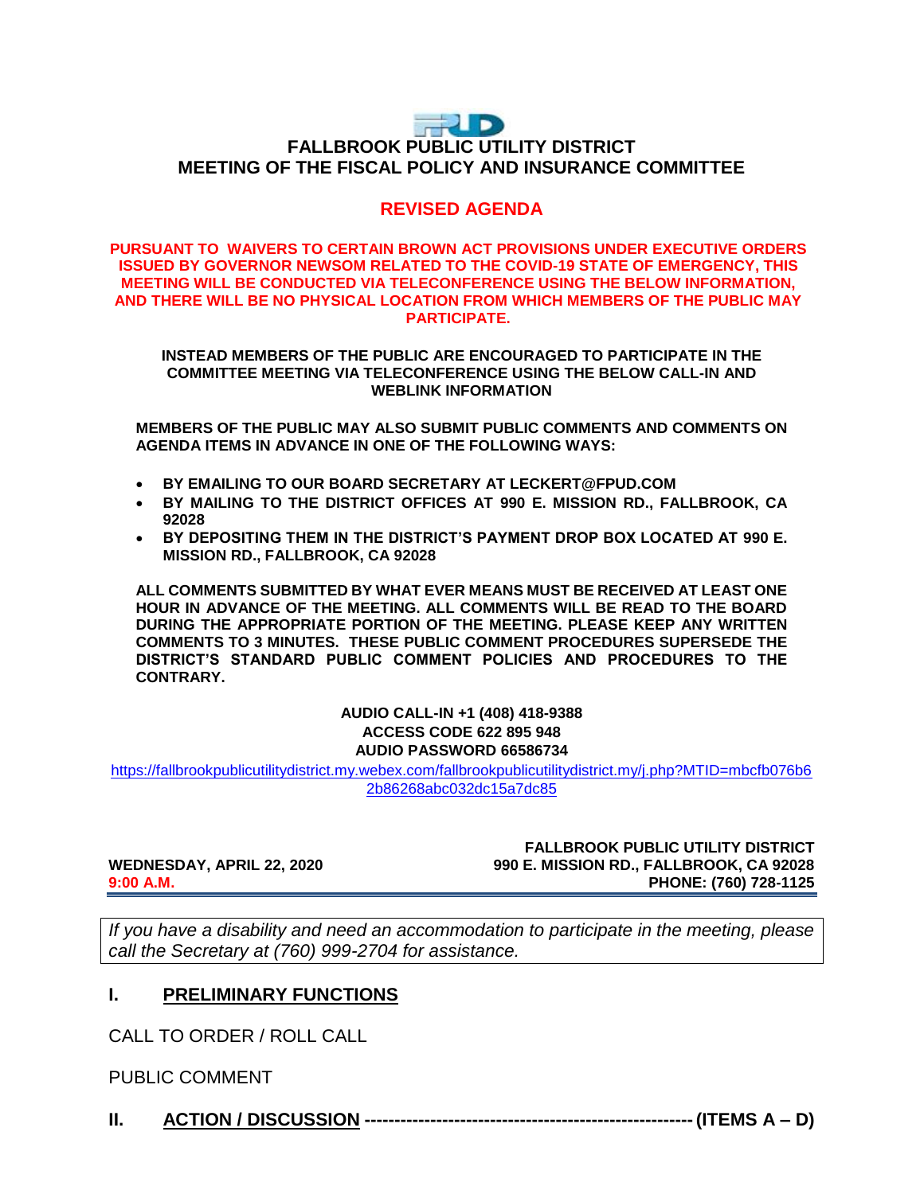# FUD **FALLBROOK PUBLIC UTILITY DISTRICT MEETING OF THE FISCAL POLICY AND INSURANCE COMMITTEE**

# **REVISED AGENDA**

### **PURSUANT TO WAIVERS TO CERTAIN BROWN ACT PROVISIONS UNDER EXECUTIVE ORDERS ISSUED BY GOVERNOR NEWSOM RELATED TO THE COVID-19 STATE OF EMERGENCY, THIS MEETING WILL BE CONDUCTED VIA TELECONFERENCE USING THE BELOW INFORMATION, AND THERE WILL BE NO PHYSICAL LOCATION FROM WHICH MEMBERS OF THE PUBLIC MAY PARTICIPATE.**

**INSTEAD MEMBERS OF THE PUBLIC ARE ENCOURAGED TO PARTICIPATE IN THE COMMITTEE MEETING VIA TELECONFERENCE USING THE BELOW CALL-IN AND WEBLINK INFORMATION**

**MEMBERS OF THE PUBLIC MAY ALSO SUBMIT PUBLIC COMMENTS AND COMMENTS ON AGENDA ITEMS IN ADVANCE IN ONE OF THE FOLLOWING WAYS:**

- **BY EMAILING TO OUR BOARD SECRETARY AT LECKERT@FPUD.COM**
- **BY MAILING TO THE DISTRICT OFFICES AT 990 E. MISSION RD., FALLBROOK, CA 92028**
- **BY DEPOSITING THEM IN THE DISTRICT'S PAYMENT DROP BOX LOCATED AT 990 E. MISSION RD., FALLBROOK, CA 92028**

**ALL COMMENTS SUBMITTED BY WHAT EVER MEANS MUST BE RECEIVED AT LEAST ONE HOUR IN ADVANCE OF THE MEETING. ALL COMMENTS WILL BE READ TO THE BOARD DURING THE APPROPRIATE PORTION OF THE MEETING. PLEASE KEEP ANY WRITTEN COMMENTS TO 3 MINUTES. THESE PUBLIC COMMENT PROCEDURES SUPERSEDE THE DISTRICT'S STANDARD PUBLIC COMMENT POLICIES AND PROCEDURES TO THE CONTRARY.**

### **AUDIO CALL-IN +1 (408) 418-9388 ACCESS CODE 622 895 948 AUDIO PASSWORD 66586734**

[https://fallbrookpublicutilitydistrict.my.webex.com/fallbrookpublicutilitydistrict.my/j.php?MTID=mbcfb076b6](https://fallbrookpublicutilitydistrict.my.webex.com/fallbrookpublicutilitydistrict.my/j.php?MTID=mbcfb076b62b86268abc032dc15a7dc85) [2b86268abc032dc15a7dc85](https://fallbrookpublicutilitydistrict.my.webex.com/fallbrookpublicutilitydistrict.my/j.php?MTID=mbcfb076b62b86268abc032dc15a7dc85)

**FALLBROOK PUBLIC UTILITY DISTRICT WEDNESDAY, APRIL 22, 2020 1990 E. MISSION RD., FALLBROOK, CA 92028**<br>PHONE: (760) 728-1125 **9:00 A.M. PHONE: (760) 728-1125**

*If you have a disability and need an accommodation to participate in the meeting, please call the Secretary at (760) 999-2704 for assistance.* 

## **I. PRELIMINARY FUNCTIONS**

CALL TO ORDER / ROLL CALL

PUBLIC COMMENT

**II. ACTION / DISCUSSION -------------------------------------------------------(ITEMS A – D)**